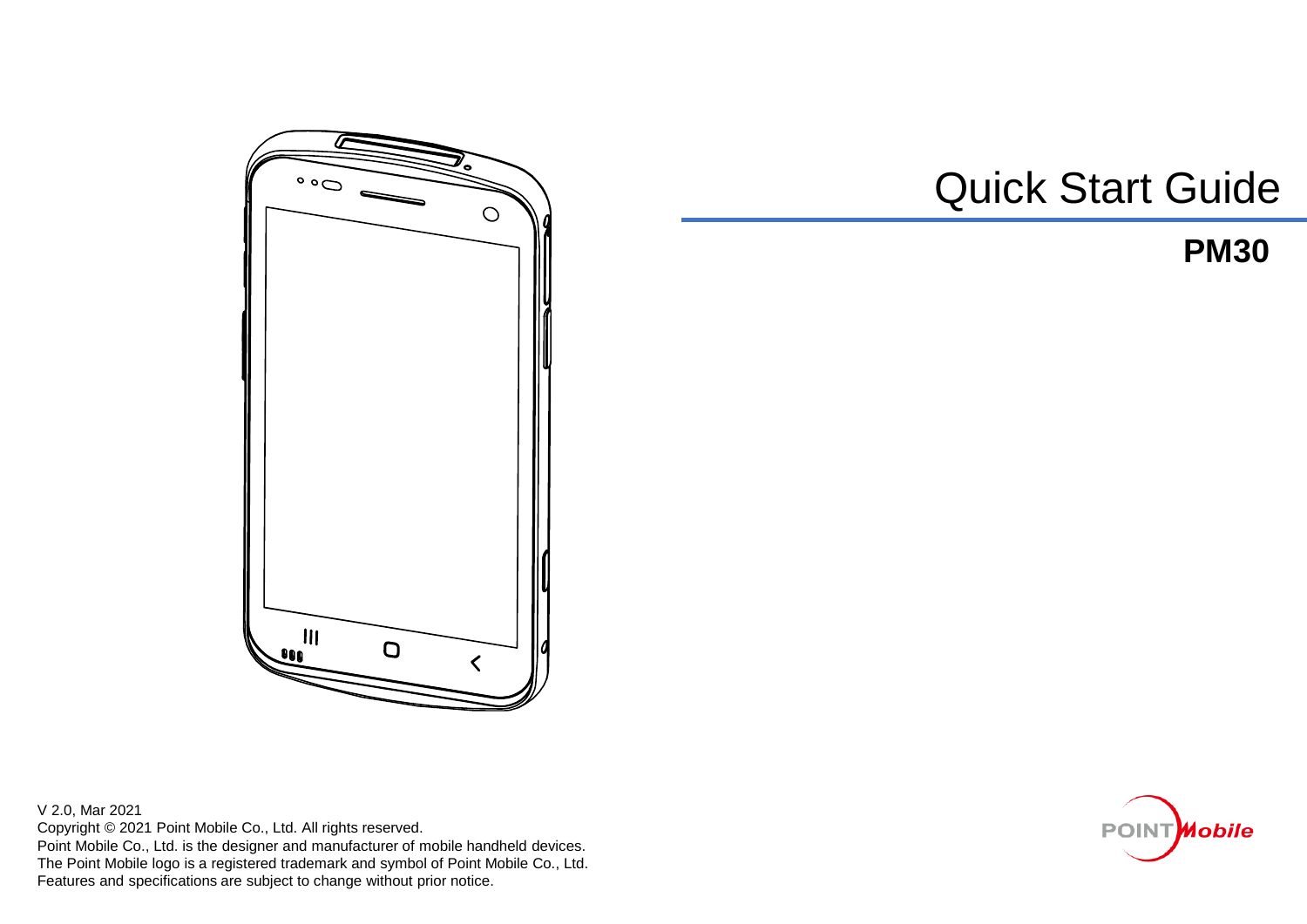

Quick Start Guide

## **PM30**

V 2.0, Mar 2021 Copyright © 2021 Point Mobile Co., Ltd. All rights reserved. Point Mobile Co., Ltd. is the designer and manufacturer of mobile handheld devices. The Point Mobile logo is a registered trademark and symbol of Point Mobile Co., Ltd. Features and specifications are subject to change without prior notice.

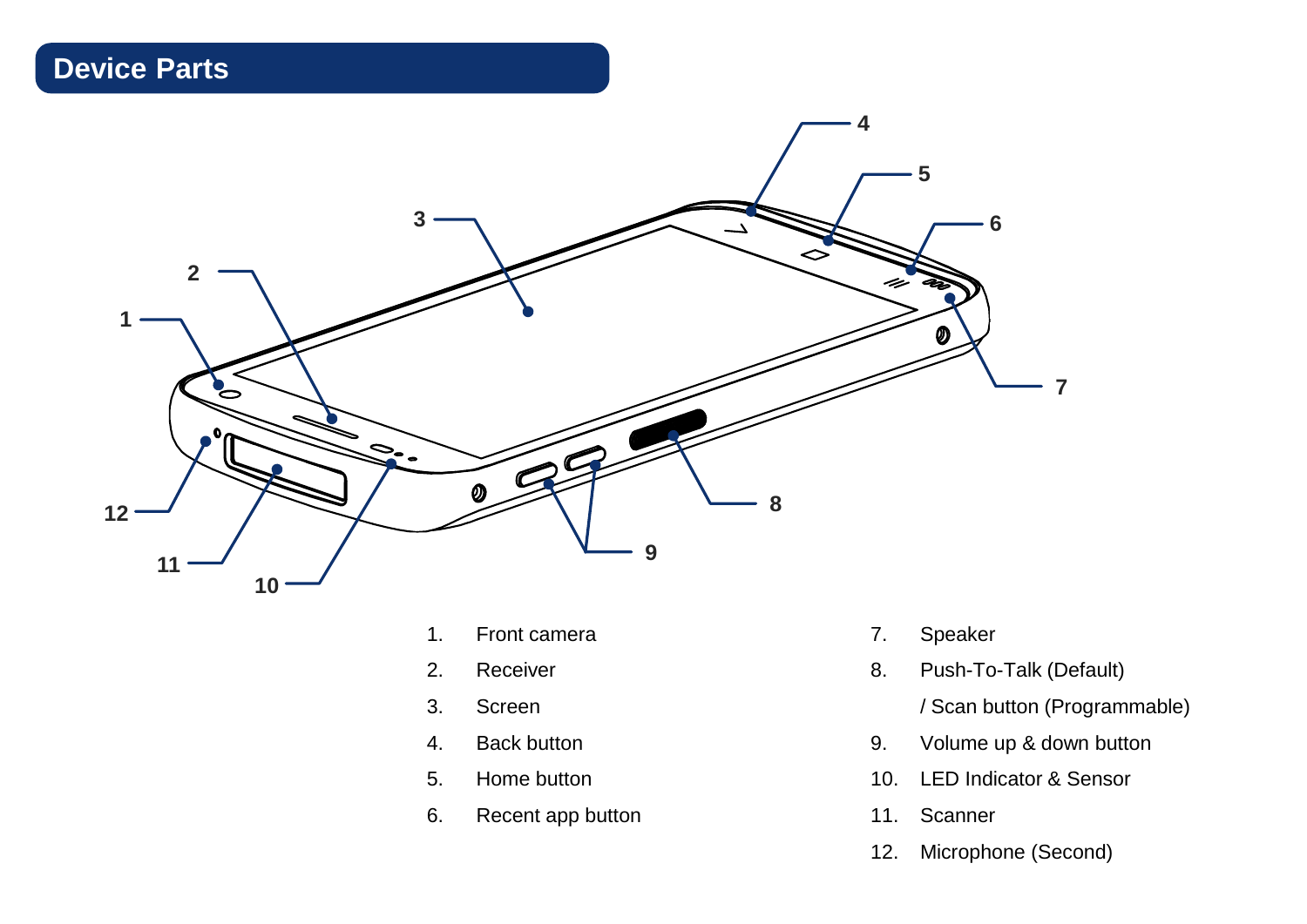# **Device Parts**



- 1. Front camera
- 2. Receiver
- 3. Screen
- 4. Back button
- 5. Home button
- 6. Recent app button
- 7. Speaker
- 8. Push-To-Talk (Default)
	- / Scan button (Programmable)
- 9. Volume up & down button
- 10. LED Indicator & Sensor
- 11. Scanner
- 12. Microphone (Second)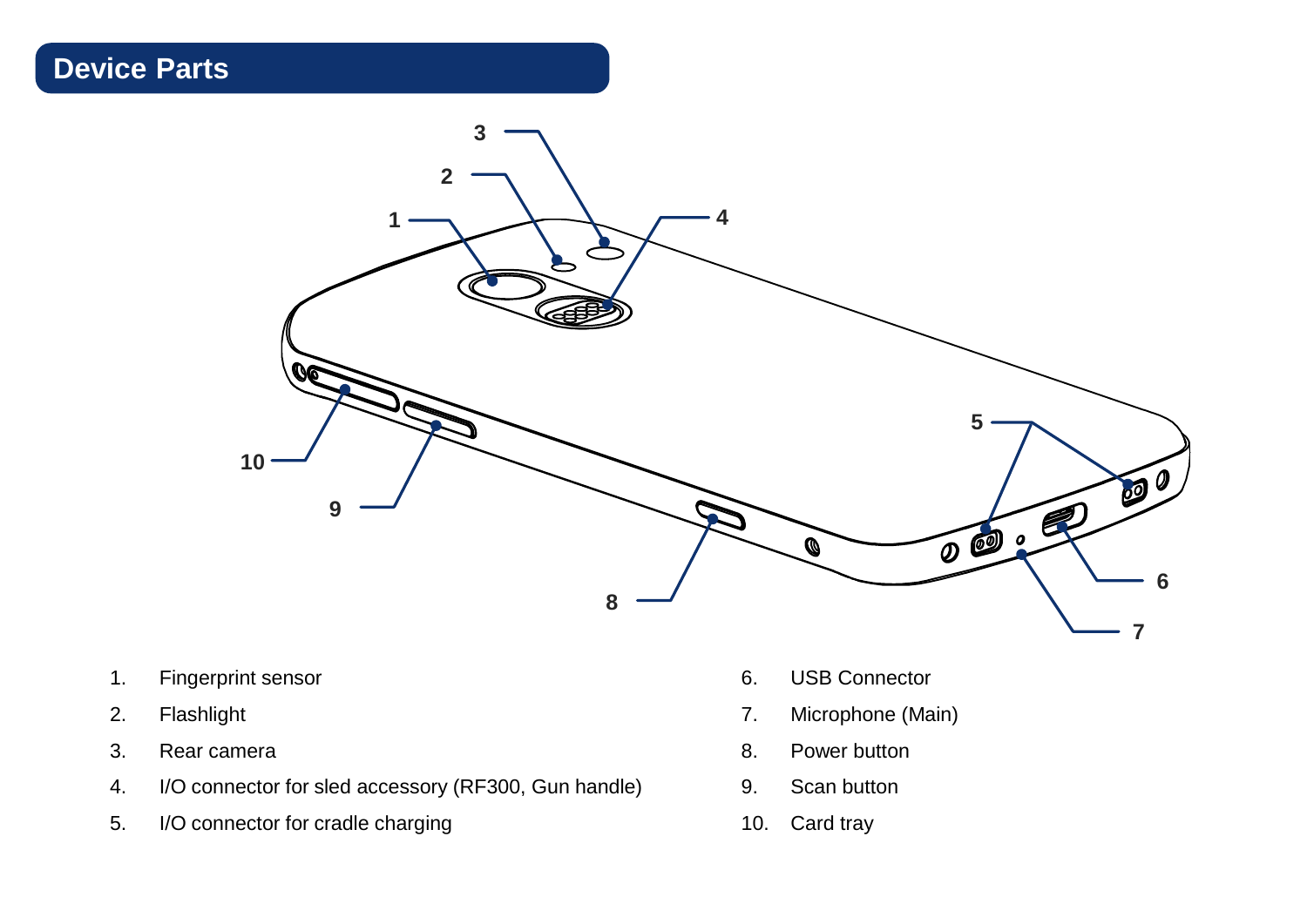## **Device Parts**



- 1. Fingerprint sensor
- 2. Flashlight
- 3. Rear camera
- 4. I/O connector for sled accessory (RF300, Gun handle)
- 5. I/O connector for cradle charging
- 6. USB Connector
- 7. Microphone (Main)
- 8. Power button
- 9. Scan button
- 10. Card tray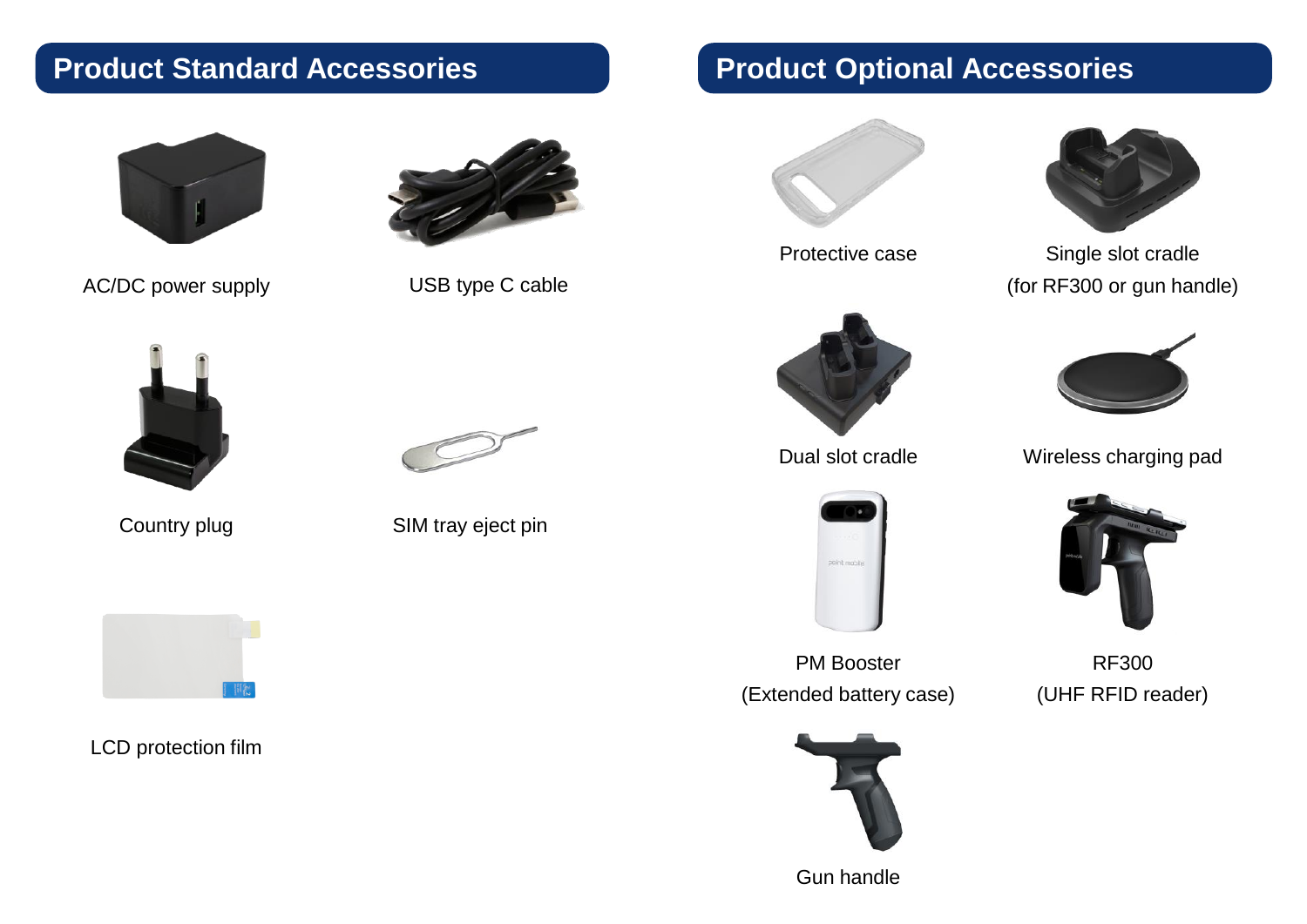## **Product Standard Accessories**



AC/DC power supply USB type C cable





Country plug



LCD protection film



SIM tray eject pin





Protective case



Dual slot cradle



PM Booster (Extended battery case)



Single slot cradle (for RF300 or gun handle)



Wireless charging pad



RF300 (UHF RFID reader)

Gun handle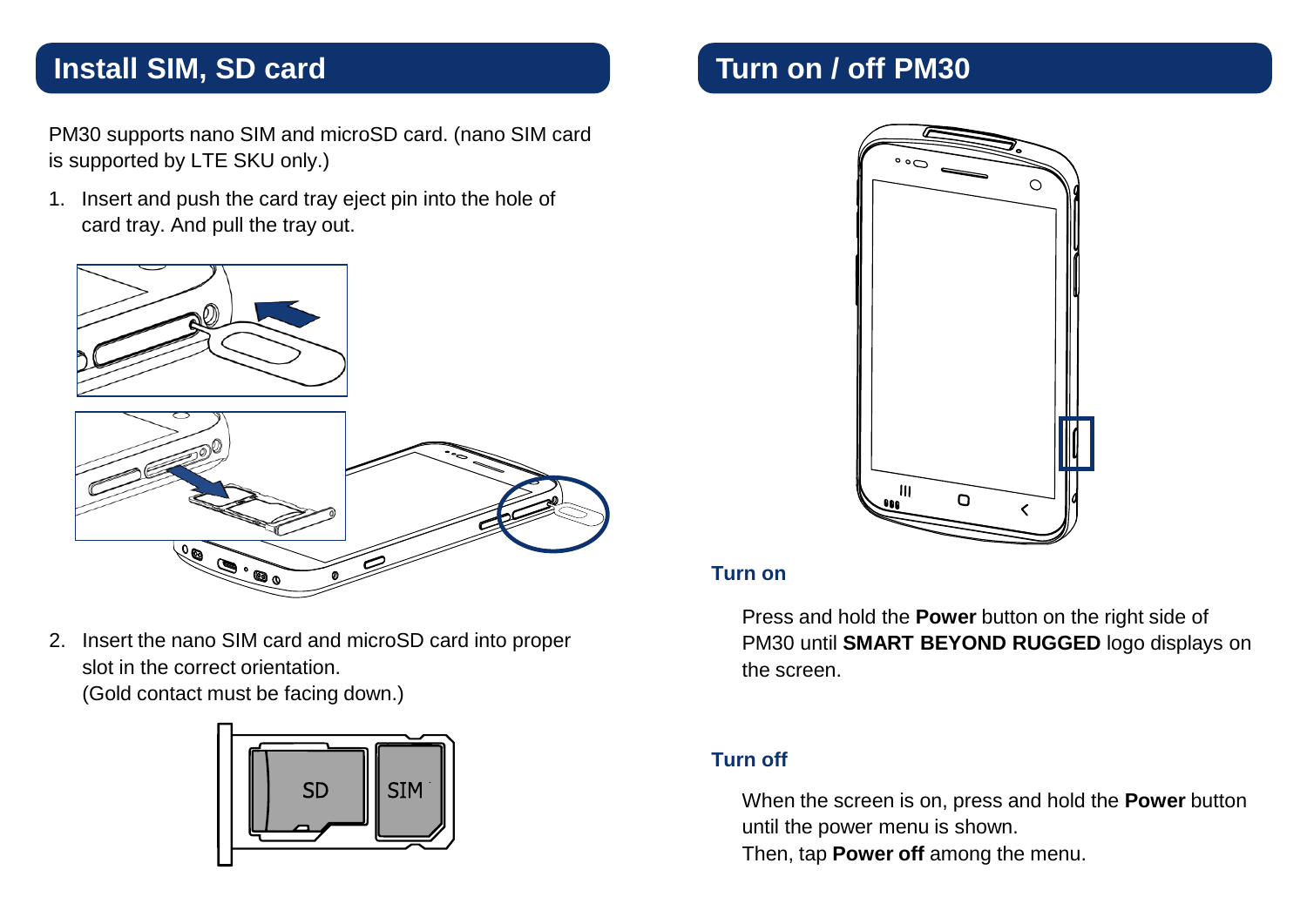### **Install SIM, SD card**

PM30 supports nano SIM and microSD card. (nano SIM card is supported by LTE SKU only.)

1. Insert and push the card tray eject pin into the hole of card tray. And pull the tray out.



2. Insert the nano SIM card and microSD card into proper slot in the correct orientation. (Gold contact must be facing down.)



# **Turn on / off PM30**



#### **Turn on**

Press and hold the **Power** button on the right side of PM30 until **SMART BEYOND RUGGED** logo displays on the screen.

#### **Turn off**

When the screen is on, press and hold the **Power** button until the power menu is shown.

Then, tap **Power off** among the menu.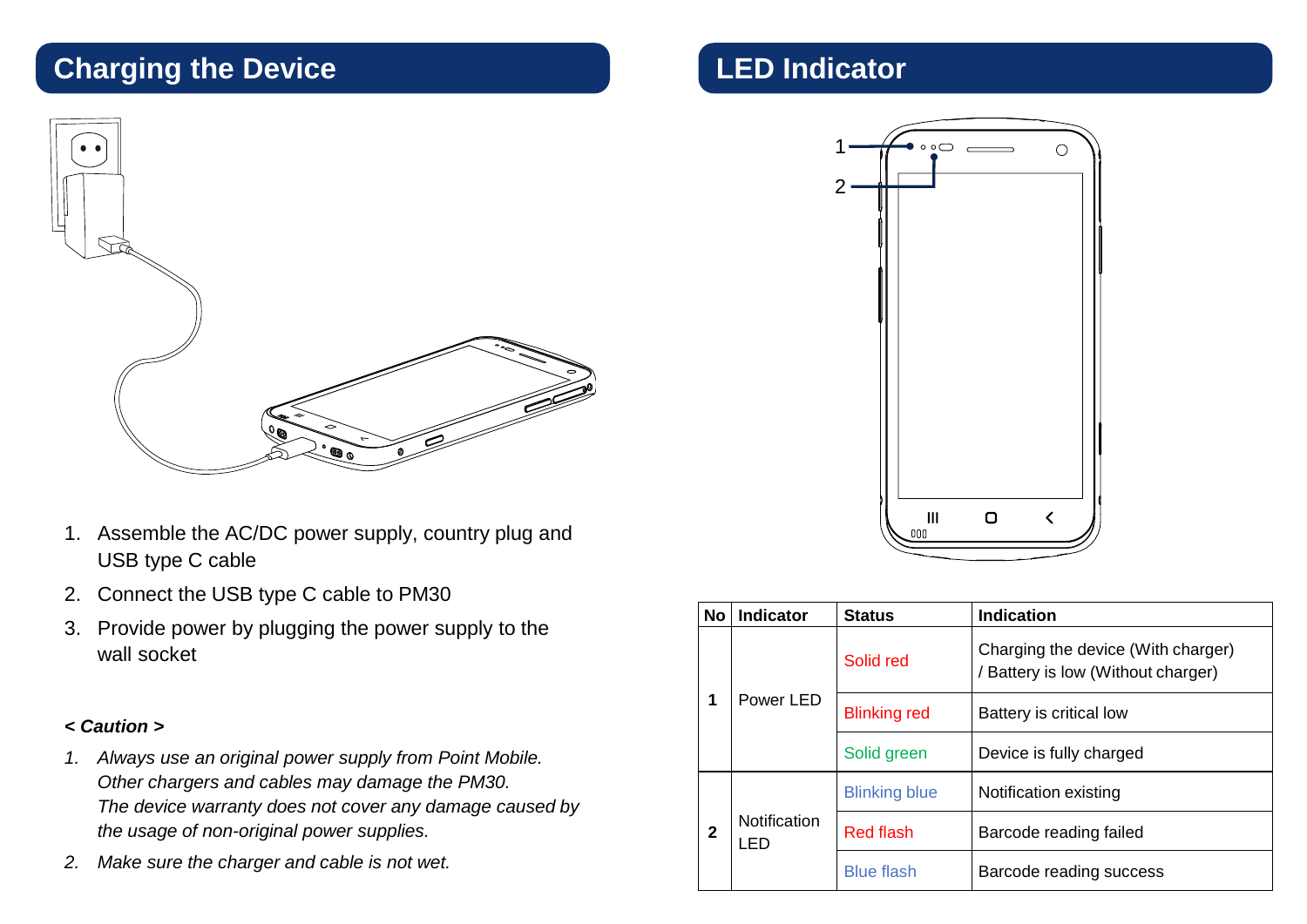# **Charging the Device**



- 1. Assemble the AC/DC power supply, country plug and USB type C cable
- 2. Connect the USB type C cable to PM30
- 3. Provide power by plugging the power supply to the wall socket

#### *< Caution >*

- *1. Always use an original power supply from Point Mobile. Other chargers and cables may damage the PM30. The device warranty does not cover any damage caused by the usage of non-original power supplies.*
- *2. Make sure the charger and cable is not wet.*

## **LED Indicator**



| <b>No</b> | <b>Indicator</b>     | <b>Status</b>        | Indication                                                             |
|-----------|----------------------|----------------------|------------------------------------------------------------------------|
| 1         | Power LED            | Solid red            | Charging the device (With charger)<br>Battery is low (Without charger) |
|           |                      | <b>Blinking red</b>  | Battery is critical low                                                |
|           |                      | Solid green          | Device is fully charged                                                |
| 2         | Notification<br>I FD | <b>Blinking blue</b> | Notification existing                                                  |
|           |                      | Red flash            | Barcode reading failed                                                 |
|           |                      | <b>Blue flash</b>    | Barcode reading success                                                |